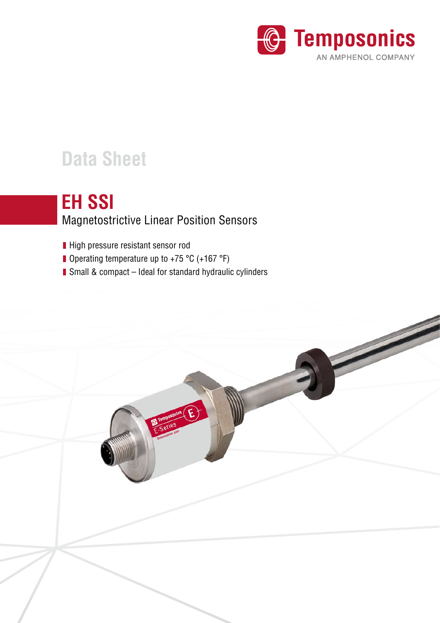

# **Data Sheet**

## **EH SSI**

## Magnetostrictive Linear Position Sensors

- High pressure resistant sensor rod
- Operating temperature up to +75 °C (+167 °F)
- Small & compact Ideal for standard hydraulic cylinders

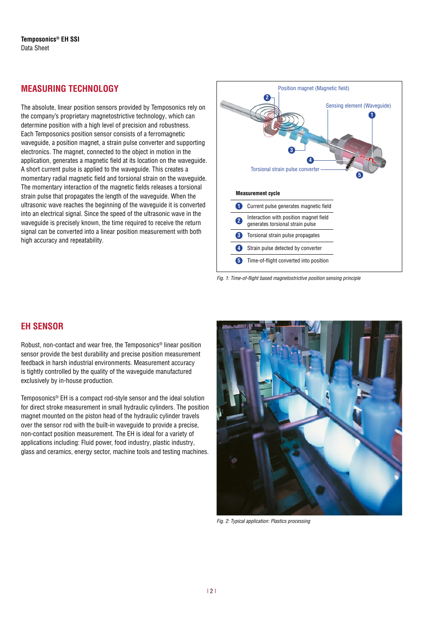## **MEASURING TECHNOLOGY**

The absolute, linear position sensors provided by Temposonics rely on the company's proprietary magnetostrictive technology, which can determine position with a high level of precision and robustness. Each Temposonics position sensor consists of a ferromagnetic waveguide, a position magnet, a strain pulse converter and supporting electronics. The magnet, connected to the object in motion in the application, generates a magnetic field at its location on the waveguide. A short current pulse is applied to the waveguide. This creates a momentary radial magnetic field and torsional strain on the waveguide. The momentary interaction of the magnetic fields releases a torsional strain pulse that propagates the length of the waveguide. When the ultrasonic wave reaches the beginning of the waveguide it is converted into an electrical signal. Since the speed of the ultrasonic wave in the waveguide is precisely known, the time required to receive the return signal can be converted into a linear position measurement with both high accuracy and repeatability.





## **EH SENSOR**

Robust, non-contact and wear free, the Temposonics® linear position sensor provide the best durability and precise position measurement feedback in harsh industrial environments. Measurement accuracy is tightly controlled by the quality of the waveguide manufactured exclusively by in-house production.

Temposonics® EH is a compact rod-style sensor and the ideal solution for direct stroke measurement in small hydraulic cylinders. The position magnet mounted on the piston head of the hydraulic cylinder travels over the sensor rod with the built-in waveguide to provide a precise, non-contact position measurement. The EH is ideal for a variety of applications including: Fluid power, food industry, plastic industry, glass and ceramics, energy sector, machine tools and testing machines.



*Fig. 2:* Typical application: Plastics processing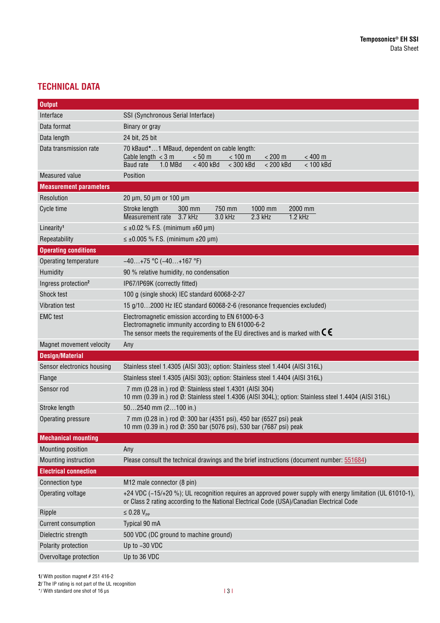## **TECHNICAL DATA**

| <b>Output</b>                   |                                                                                                                                                                                                                         |  |  |  |
|---------------------------------|-------------------------------------------------------------------------------------------------------------------------------------------------------------------------------------------------------------------------|--|--|--|
| Interface                       | SSI (Synchronous Serial Interface)                                                                                                                                                                                      |  |  |  |
| Data format                     | Binary or gray                                                                                                                                                                                                          |  |  |  |
| Data length                     | 24 bit, 25 bit                                                                                                                                                                                                          |  |  |  |
| Data transmission rate          | 70 kBaud*1 MBaud, dependent on cable length:<br>< 50 m<br>Cable length $<$ 3 m<br>$< 100 \text{ m}$<br>$< 200 \text{ m}$<br>< 400 m<br>$< 400$ kBd<br>$<$ 300 kBd<br>$< 200$ kBd<br>$< 100$ kBd<br>1.0 MBd<br>Baud rate |  |  |  |
| Measured value                  | Position                                                                                                                                                                                                                |  |  |  |
| <b>Measurement parameters</b>   |                                                                                                                                                                                                                         |  |  |  |
| Resolution                      | 20 µm, 50 µm or 100 µm                                                                                                                                                                                                  |  |  |  |
| Cycle time                      | 750 mm<br>1000 mm<br>2000 mm<br>300 mm<br>Stroke length<br>$3.7$ kHz<br>$2.3$ kHz<br>Measurement rate<br>3.0 kHz<br>$1.2$ kHz                                                                                           |  |  |  |
| Linearity <sup>1</sup>          | $\leq \pm 0.02$ % F.S. (minimum $\pm 60$ µm)                                                                                                                                                                            |  |  |  |
| Repeatability                   | $\leq \pm 0.005$ % F.S. (minimum $\pm 20$ µm)                                                                                                                                                                           |  |  |  |
| <b>Operating conditions</b>     |                                                                                                                                                                                                                         |  |  |  |
| Operating temperature           | $-40+75$ °C ( $-40+167$ °F)                                                                                                                                                                                             |  |  |  |
| Humidity                        | 90 % relative humidity, no condensation                                                                                                                                                                                 |  |  |  |
| Ingress protection <sup>2</sup> | IP67/IP69K (correctly fitted)                                                                                                                                                                                           |  |  |  |
| Shock test                      | 100 g (single shock) IEC standard 60068-2-27                                                                                                                                                                            |  |  |  |
| <b>Vibration test</b>           | 15 g/102000 Hz IEC standard 60068-2-6 (resonance frequencies excluded)                                                                                                                                                  |  |  |  |
| <b>EMC</b> test                 | Electromagnetic emission according to EN 61000-6-3<br>Electromagnetic immunity according to EN 61000-6-2<br>The sensor meets the requirements of the EU directives and is marked with $\mathsf{C}\,\mathsf{C}$          |  |  |  |
| Magnet movement velocity        | Any                                                                                                                                                                                                                     |  |  |  |
| <b>Design/Material</b>          |                                                                                                                                                                                                                         |  |  |  |
| Sensor electronics housing      | Stainless steel 1.4305 (AISI 303); option: Stainless steel 1.4404 (AISI 316L)                                                                                                                                           |  |  |  |
| Flange                          | Stainless steel 1.4305 (AISI 303); option: Stainless steel 1.4404 (AISI 316L)                                                                                                                                           |  |  |  |
| Sensor rod                      | 7 mm (0.28 in.) rod Ø: Stainless steel 1.4301 (AISI 304)<br>10 mm (0.39 in.) rod Ø: Stainless steel 1.4306 (AISI 304L); option: Stainless steel 1.4404 (AISI 316L)                                                      |  |  |  |
| Stroke length                   | $502540$ mm $(2100$ in.)                                                                                                                                                                                                |  |  |  |
| Operating pressure              | 7 mm (0.28 in.) rod Ø: 300 bar (4351 psi), 450 bar (6527 psi) peak<br>10 mm (0.39 in.) rod Ø: 350 bar (5076 psi), 530 bar (7687 psi) peak                                                                               |  |  |  |
| <b>Mechanical mounting</b>      |                                                                                                                                                                                                                         |  |  |  |
| Mounting position               | Any                                                                                                                                                                                                                     |  |  |  |
| Mounting instruction            | Please consult the technical drawings and the brief instructions (document number: 551684)                                                                                                                              |  |  |  |
| <b>Electrical connection</b>    |                                                                                                                                                                                                                         |  |  |  |
| <b>Connection type</b>          | M12 male connector (8 pin)                                                                                                                                                                                              |  |  |  |
| Operating voltage               | +24 VDC (-15/+20 %); UL recognition requires an approved power supply with energy limitation (UL 61010-1),<br>or Class 2 rating according to the National Electrical Code (USA)/Canadian Electrical Code                |  |  |  |
| Ripple                          | $\leq$ 0.28 $V_{\text{pp}}$                                                                                                                                                                                             |  |  |  |
| <b>Current consumption</b>      | Typical 90 mA                                                                                                                                                                                                           |  |  |  |
| Dielectric strength             | 500 VDC (DC ground to machine ground)                                                                                                                                                                                   |  |  |  |
| Polarity protection             | Up to -30 VDC                                                                                                                                                                                                           |  |  |  |
| Overvoltage protection          | Up to 36 VDC                                                                                                                                                                                                            |  |  |  |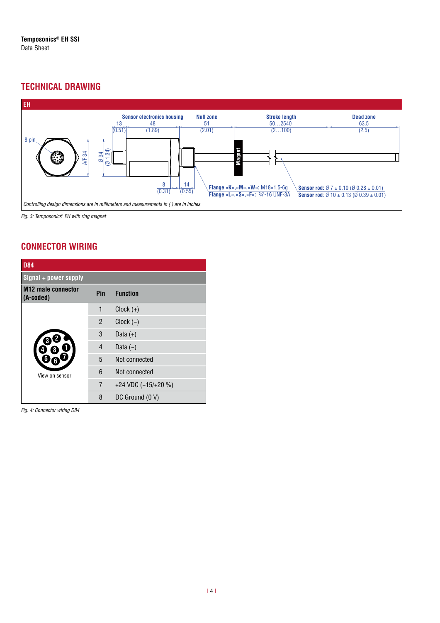## **TECHNICAL DRAWING**



*Fig. 3:* Temposonics*®* EH with ring magnet

## **CONNECTOR WIRING**

| <b>D84</b>                             |                |                     |  |
|----------------------------------------|----------------|---------------------|--|
| Signal + power supply                  |                |                     |  |
| <b>M12 male connector</b><br>(A-coded) | Pin            | <b>Function</b>     |  |
|                                        | 1              | $Clock (+)$         |  |
|                                        | $\mathfrak{p}$ | $Clock (-)$         |  |
|                                        | 3              | Data $(+)$          |  |
|                                        | 4              | Data $(-)$          |  |
|                                        | 5              | Not connected       |  |
| View on sensor                         | 6              | Not connected       |  |
|                                        | $\overline{7}$ | +24 VDC (-15/+20 %) |  |
|                                        | 8              | DC Ground (0 V)     |  |

*Fig. 4:* Connector wiring D84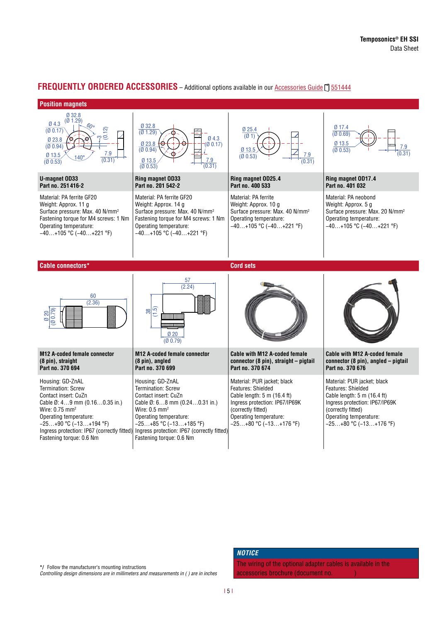#### **FREQUENTLY ORDERED ACCESSORIES** – Additional options available in our [Accessories Guide](https://www.temposonics.com/Products/IndustrialPositionSensors/AccessoriesforindustrialSensors/Catalog) 1 551444

#### **Position magnets**



**\*/** Follow the manufacturer's mounting instructions

Controlling design dimensions are in millimeters and measurements in ( ) are in inches

#### *NOTICE*

The wiring of the optional adapter cables is available in the accessories brochure (document no.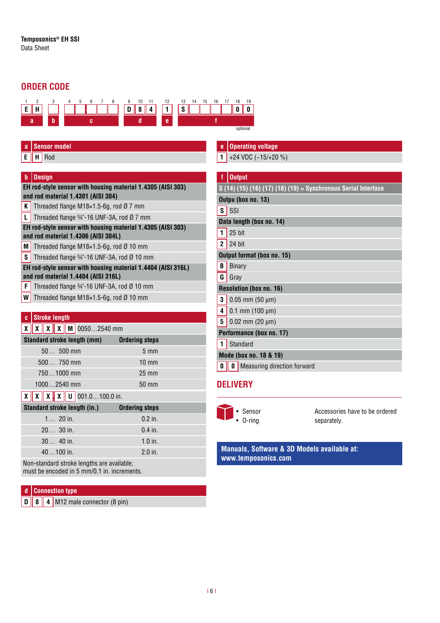## **ORDER CODE**



### **a** Sensor model

**E H** Rod

#### **b Design**

#### **EH rod-style sensor with housing material 1.4305 (AISI 303) and rod material 1.4301 (AISI 304)**

- **K** Threaded flange M18 $\times$ 1.5-6g, rod Ø 7 mm
- **L** Threaded flange  $\frac{3}{4}$  -16 UNF-3A, rod Ø 7 mm
- **EH rod-style sensor with housing material 1.4305 (AISI 303) and rod material 1.4306 (AISI 304L)**
- **M** Threaded flange M18 $\times$ 1.5-6g, rod Ø 10 mm
- **S** Threaded flange  $\frac{3}{4}$  -16 UNF-3A, rod Ø 10 mm

#### **EH rod-style sensor with housing material 1.4404 (AISI 316L) and rod material 1.4404 (AISI 316L)**

- **F** Threaded flange  $\frac{3}{4}$  -16 UNF-3A, rod Ø 10 mm
- **W** Threaded flange M18 $\times$ 1.5-6g, rod Ø 10 mm

#### **c Stroke length**

|  |  | $X X X X$ $X 00502540$ mm |
|--|--|---------------------------|

| <b>Standard stroke length (mm)</b>                 | <b>Ordering steps</b> |
|----------------------------------------------------|-----------------------|
| $50$ 500 mm                                        | $5 \text{ mm}$        |
| $500$ 750 mm                                       | $10 \text{ mm}$       |
| 7501000 mm                                         | $25 \text{ mm}$       |
| 10002540 mm                                        | 50 mm                 |
| $\sqrt{v}$ $\sqrt{v}$ $\sqrt{v}$ $\sqrt{u}$ $\cos$ | 1000 <sub>in</sub>    |

#### **X X X X U** 001.0…100.0 in. **.**

| Standard stroke length (in.) | <b>Ordering steps</b> |
|------------------------------|-----------------------|
| $1 20$ in.                   | $0.2$ in.             |
| $2030$ in.                   | $0.4$ in.             |
| $30$ 40 in.                  | $1.0$ in.             |
| $40100$ in.                  | $2.0$ in.             |

Non-standard stroke lengths are available; must be encoded in 5 mm/0.1 in. increments.

### **d Connection type**

**D 8 4** M12 male connector (8 pin)

#### **e Operating voltage 1** +24 VDC (−15/+20 %)

## **f Output S (14) (15) (16) (17) (18) (19) = Synchronous Serial Interface Outpu (box no. 13)**  $\overline{\mathbf{s}}$  SSI **Data length (box no. 14) 1** 25 bit **2** 24 bit **Output format (box no. 15) B** Binary **G** Grav **Resolution (box no. 16) 3** 0.05 mm (50 µm) **4** 0.1 mm (100 µm) **5** 0.02 mm (20 µm) **Performance (box no. 17) 1** Standard **Mode (box no. 18 & 19)**

**0 0** Measuring direction forward

## **DELIVERY**



Accessories have to be ordered separately.

#### **Manuals, Software & 3D Models available at: [www.temposonics.com](http://www.temposonics.com)**